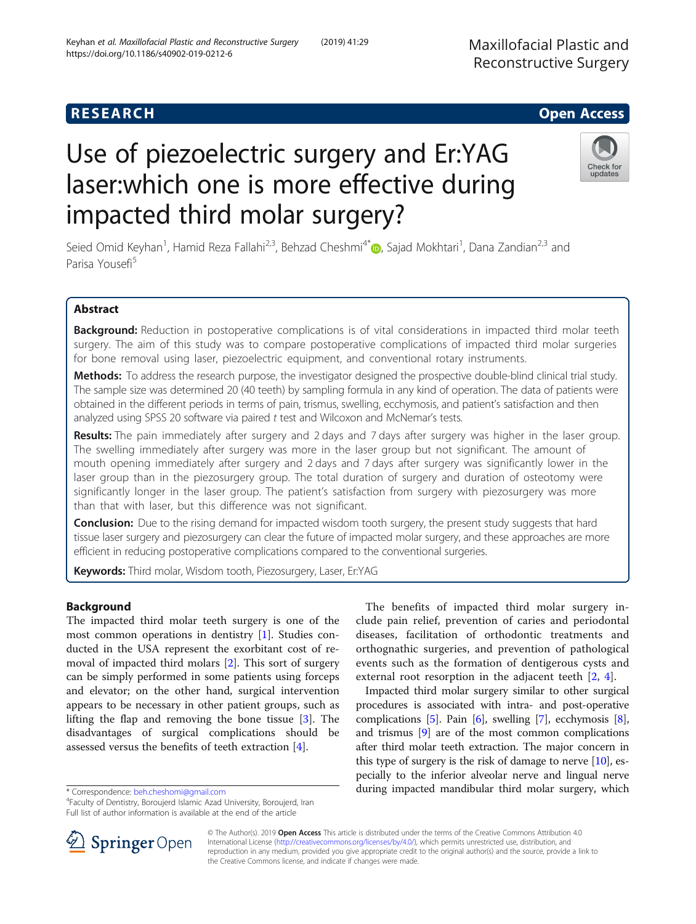# **RESEARCH CHILD CONTROL** CONTROL CONTROL CONTROL CONTROL CONTROL CONTROL CONTROL CONTROL CONTROL CONTROL CONTROL

# Use of piezoelectric surgery and Er:YAG laser:which one is more effective during impacted third molar surgery?

Seied Omid Keyhan<sup>1</sup>, Hamid Reza Fallahi<sup>2,3</sup>, Behzad Cheshmi<sup>4[\\*](http://orcid.org/0000-0001-5805-451X)</sup>. Sajad Mokhtari<sup>1</sup>, Dana Zandian<sup>2,3</sup> and Parisa Yousefi<sup>5</sup>

# Abstract

Background: Reduction in postoperative complications is of vital considerations in impacted third molar teeth surgery. The aim of this study was to compare postoperative complications of impacted third molar surgeries for bone removal using laser, piezoelectric equipment, and conventional rotary instruments.

Methods: To address the research purpose, the investigator designed the prospective double-blind clinical trial study. The sample size was determined 20 (40 teeth) by sampling formula in any kind of operation. The data of patients were obtained in the different periods in terms of pain, trismus, swelling, ecchymosis, and patient's satisfaction and then analyzed using SPSS 20 software via paired t test and Wilcoxon and McNemar's tests.

**Results:** The pain immediately after surgery and 2 days and 7 days after surgery was higher in the laser group. The swelling immediately after surgery was more in the laser group but not significant. The amount of mouth opening immediately after surgery and 2 days and 7 days after surgery was significantly lower in the laser group than in the piezosurgery group. The total duration of surgery and duration of osteotomy were significantly longer in the laser group. The patient's satisfaction from surgery with piezosurgery was more than that with laser, but this difference was not significant.

**Conclusion:** Due to the rising demand for impacted wisdom tooth surgery, the present study suggests that hard tissue laser surgery and piezosurgery can clear the future of impacted molar surgery, and these approaches are more efficient in reducing postoperative complications compared to the conventional surgeries.

Keywords: Third molar, Wisdom tooth, Piezosurgery, Laser, Er:YAG

# Background

The impacted third molar teeth surgery is one of the most common operations in dentistry [[1\]](#page-8-0). Studies conducted in the USA represent the exorbitant cost of removal of impacted third molars [[2\]](#page-8-0). This sort of surgery can be simply performed in some patients using forceps and elevator; on the other hand, surgical intervention appears to be necessary in other patient groups, such as lifting the flap and removing the bone tissue [\[3](#page-8-0)]. The disadvantages of surgical complications should be assessed versus the benefits of teeth extraction [[4\]](#page-8-0).

\* Correspondence: [beh.cheshomi@gmail.com](mailto:beh.cheshomi@gmail.com) <sup>4</sup>

© The Author(s). 2019 Open Access This article is distributed under the terms of the Creative Commons Attribution 4.0 International License ([http://creativecommons.org/licenses/by/4.0/\)](http://creativecommons.org/licenses/by/4.0/), which permits unrestricted use, distribution, and reproduction in any medium, provided you give appropriate credit to the original author(s) and the source, provide a link to the Creative Commons license, and indicate if changes were made.

The benefits of impacted third molar surgery include pain relief, prevention of caries and periodontal diseases, facilitation of orthodontic treatments and orthognathic surgeries, and prevention of pathological events such as the formation of dentigerous cysts and external root resorption in the adjacent teeth [\[2](#page-8-0), [4](#page-8-0)].

Impacted third molar surgery similar to other surgical procedures is associated with intra- and post-operative complications [[5\]](#page-8-0). Pain [\[6](#page-8-0)], swelling [\[7](#page-8-0)], ecchymosis [[8](#page-8-0)], and trismus [[9\]](#page-8-0) are of the most common complications after third molar teeth extraction. The major concern in this type of surgery is the risk of damage to nerve [\[10\]](#page-8-0), especially to the inferior alveolar nerve and lingual nerve during impacted mandibular third molar surgery, which





Faculty of Dentistry, Boroujerd Islamic Azad University, Boroujerd, Iran Full list of author information is available at the end of the article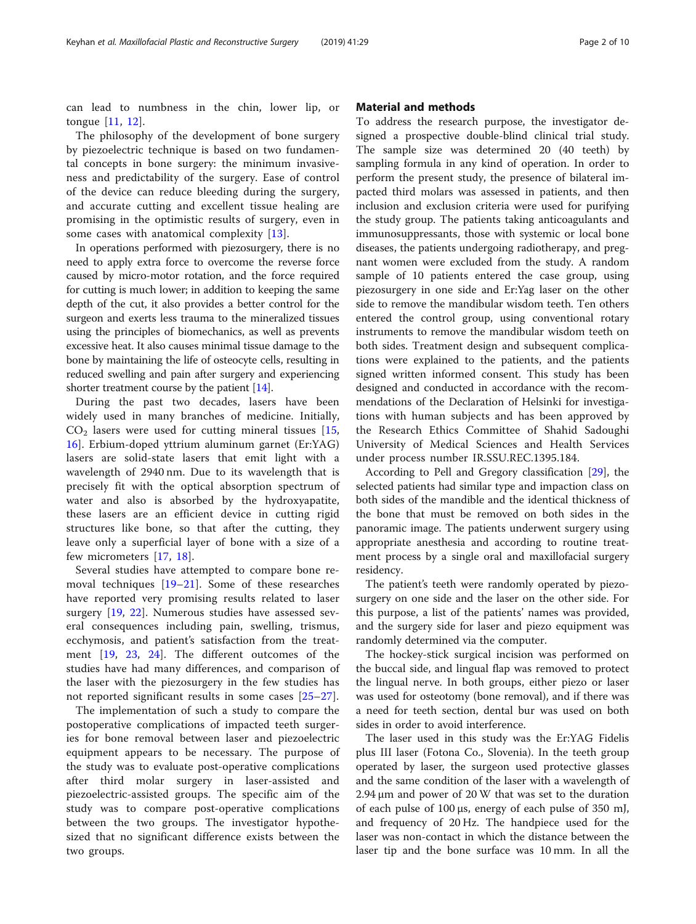can lead to numbness in the chin, lower lip, or tongue [[11,](#page-8-0) [12\]](#page-8-0).

The philosophy of the development of bone surgery by piezoelectric technique is based on two fundamental concepts in bone surgery: the minimum invasiveness and predictability of the surgery. Ease of control of the device can reduce bleeding during the surgery, and accurate cutting and excellent tissue healing are promising in the optimistic results of surgery, even in some cases with anatomical complexity [\[13](#page-8-0)].

In operations performed with piezosurgery, there is no need to apply extra force to overcome the reverse force caused by micro-motor rotation, and the force required for cutting is much lower; in addition to keeping the same depth of the cut, it also provides a better control for the surgeon and exerts less trauma to the mineralized tissues using the principles of biomechanics, as well as prevents excessive heat. It also causes minimal tissue damage to the bone by maintaining the life of osteocyte cells, resulting in reduced swelling and pain after surgery and experiencing shorter treatment course by the patient [\[14\]](#page-8-0).

During the past two decades, lasers have been widely used in many branches of medicine. Initially,  $CO<sub>2</sub>$  lasers were used for cutting mineral tissues [\[15](#page-8-0), [16\]](#page-8-0). Erbium-doped yttrium aluminum garnet (Er:YAG) lasers are solid-state lasers that emit light with a wavelength of 2940 nm. Due to its wavelength that is precisely fit with the optical absorption spectrum of water and also is absorbed by the hydroxyapatite, these lasers are an efficient device in cutting rigid structures like bone, so that after the cutting, they leave only a superficial layer of bone with a size of a few micrometers [[17,](#page-8-0) [18\]](#page-8-0).

Several studies have attempted to compare bone removal techniques [\[19](#page-8-0)–[21](#page-8-0)]. Some of these researches have reported very promising results related to laser surgery [[19,](#page-8-0) [22](#page-8-0)]. Numerous studies have assessed several consequences including pain, swelling, trismus, ecchymosis, and patient's satisfaction from the treatment [\[19](#page-8-0), [23,](#page-8-0) [24\]](#page-8-0). The different outcomes of the studies have had many differences, and comparison of the laser with the piezosurgery in the few studies has not reported significant results in some cases [[25](#page-8-0)–[27\]](#page-8-0).

The implementation of such a study to compare the postoperative complications of impacted teeth surgeries for bone removal between laser and piezoelectric equipment appears to be necessary. The purpose of the study was to evaluate post-operative complications after third molar surgery in laser-assisted and piezoelectric-assisted groups. The specific aim of the study was to compare post-operative complications between the two groups. The investigator hypothesized that no significant difference exists between the two groups.

# Material and methods

To address the research purpose, the investigator designed a prospective double-blind clinical trial study. The sample size was determined 20 (40 teeth) by sampling formula in any kind of operation. In order to perform the present study, the presence of bilateral impacted third molars was assessed in patients, and then inclusion and exclusion criteria were used for purifying the study group. The patients taking anticoagulants and immunosuppressants, those with systemic or local bone diseases, the patients undergoing radiotherapy, and pregnant women were excluded from the study. A random sample of 10 patients entered the case group, using piezosurgery in one side and Er:Yag laser on the other side to remove the mandibular wisdom teeth. Ten others entered the control group, using conventional rotary instruments to remove the mandibular wisdom teeth on both sides. Treatment design and subsequent complications were explained to the patients, and the patients signed written informed consent. This study has been designed and conducted in accordance with the recommendations of the Declaration of Helsinki for investigations with human subjects and has been approved by the Research Ethics Committee of Shahid Sadoughi University of Medical Sciences and Health Services under process number IR.SSU.REC.1395.184.

According to Pell and Gregory classification [\[29](#page-8-0)], the selected patients had similar type and impaction class on both sides of the mandible and the identical thickness of the bone that must be removed on both sides in the panoramic image. The patients underwent surgery using appropriate anesthesia and according to routine treatment process by a single oral and maxillofacial surgery residency.

The patient's teeth were randomly operated by piezosurgery on one side and the laser on the other side. For this purpose, a list of the patients' names was provided, and the surgery side for laser and piezo equipment was randomly determined via the computer.

The hockey-stick surgical incision was performed on the buccal side, and lingual flap was removed to protect the lingual nerve. In both groups, either piezo or laser was used for osteotomy (bone removal), and if there was a need for teeth section, dental bur was used on both sides in order to avoid interference.

The laser used in this study was the Er:YAG Fidelis plus III laser (Fotona Co., Slovenia). In the teeth group operated by laser, the surgeon used protective glasses and the same condition of the laser with a wavelength of 2.94 μm and power of 20 W that was set to the duration of each pulse of 100 μs, energy of each pulse of 350 mJ, and frequency of 20 Hz. The handpiece used for the laser was non-contact in which the distance between the laser tip and the bone surface was 10 mm. In all the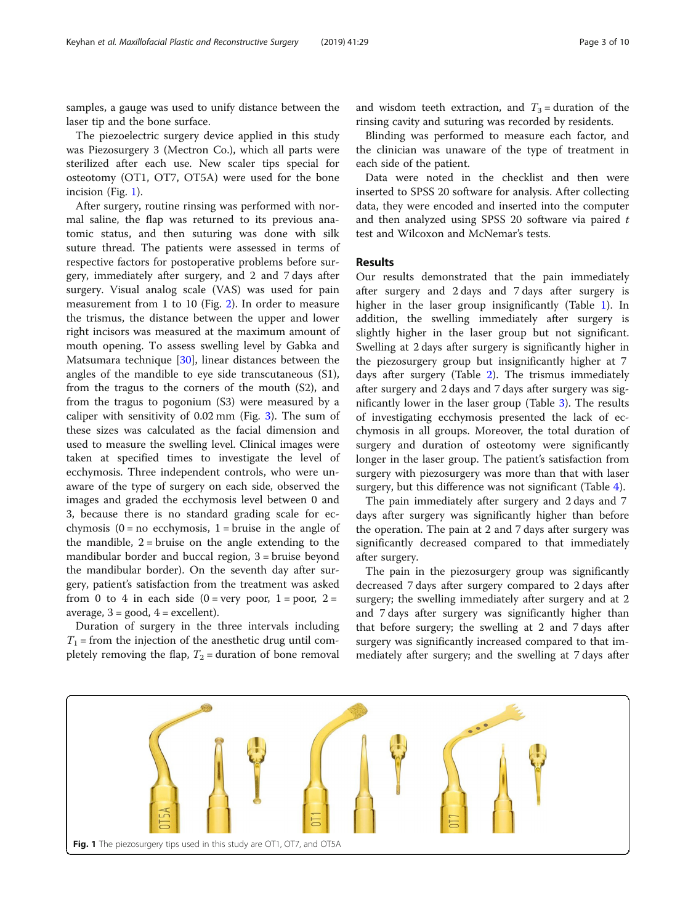samples, a gauge was used to unify distance between the laser tip and the bone surface.

The piezoelectric surgery device applied in this study was Piezosurgery 3 (Mectron Co.), which all parts were sterilized after each use. New scaler tips special for osteotomy (OT1, OT7, OT5A) were used for the bone incision (Fig. 1).

After surgery, routine rinsing was performed with normal saline, the flap was returned to its previous anatomic status, and then suturing was done with silk suture thread. The patients were assessed in terms of respective factors for postoperative problems before surgery, immediately after surgery, and 2 and 7 days after surgery. Visual analog scale (VAS) was used for pain measurement from 1 to 10 (Fig. [2](#page-3-0)). In order to measure the trismus, the distance between the upper and lower right incisors was measured at the maximum amount of mouth opening. To assess swelling level by Gabka and Matsumara technique [\[30\]](#page-9-0), linear distances between the angles of the mandible to eye side transcutaneous (S1), from the tragus to the corners of the mouth (S2), and from the tragus to pogonium (S3) were measured by a caliper with sensitivity of 0.02 mm (Fig. [3\)](#page-3-0). The sum of these sizes was calculated as the facial dimension and used to measure the swelling level. Clinical images were taken at specified times to investigate the level of ecchymosis. Three independent controls, who were unaware of the type of surgery on each side, observed the images and graded the ecchymosis level between 0 and 3, because there is no standard grading scale for ecchymosis  $(0 = no$  ecchymosis,  $1 = b$ ruise in the angle of the mandible,  $2 =$  bruise on the angle extending to the mandibular border and buccal region, 3 = bruise beyond the mandibular border). On the seventh day after surgery, patient's satisfaction from the treatment was asked from 0 to 4 in each side  $(0 = \text{very poor}, 1 = \text{poor}, 2 =$ average,  $3 = \text{good}$ ,  $4 = \text{excellent}$ .

Duration of surgery in the three intervals including  $T_1$  = from the injection of the anesthetic drug until completely removing the flap,  $T_2$  = duration of bone removal and wisdom teeth extraction, and  $T_3$  = duration of the rinsing cavity and suturing was recorded by residents.

Blinding was performed to measure each factor, and the clinician was unaware of the type of treatment in each side of the patient.

Data were noted in the checklist and then were inserted to SPSS 20 software for analysis. After collecting data, they were encoded and inserted into the computer and then analyzed using SPSS 20 software via paired  $t$ test and Wilcoxon and McNemar's tests.

## Results

Our results demonstrated that the pain immediately after surgery and 2 days and 7 days after surgery is higher in the laser group insignificantly (Table [1](#page-4-0)). In addition, the swelling immediately after surgery is slightly higher in the laser group but not significant. Swelling at 2 days after surgery is significantly higher in the piezosurgery group but insignificantly higher at 7 days after surgery (Table [2](#page-4-0)). The trismus immediately after surgery and 2 days and 7 days after surgery was significantly lower in the laser group (Table [3](#page-5-0)). The results of investigating ecchymosis presented the lack of ecchymosis in all groups. Moreover, the total duration of surgery and duration of osteotomy were significantly longer in the laser group. The patient's satisfaction from surgery with piezosurgery was more than that with laser surgery, but this difference was not significant (Table [4](#page-5-0)).

The pain immediately after surgery and 2 days and 7 days after surgery was significantly higher than before the operation. The pain at 2 and 7 days after surgery was significantly decreased compared to that immediately after surgery.

The pain in the piezosurgery group was significantly decreased 7 days after surgery compared to 2 days after surgery; the swelling immediately after surgery and at 2 and 7 days after surgery was significantly higher than that before surgery; the swelling at 2 and 7 days after surgery was significantly increased compared to that immediately after surgery; and the swelling at 7 days after

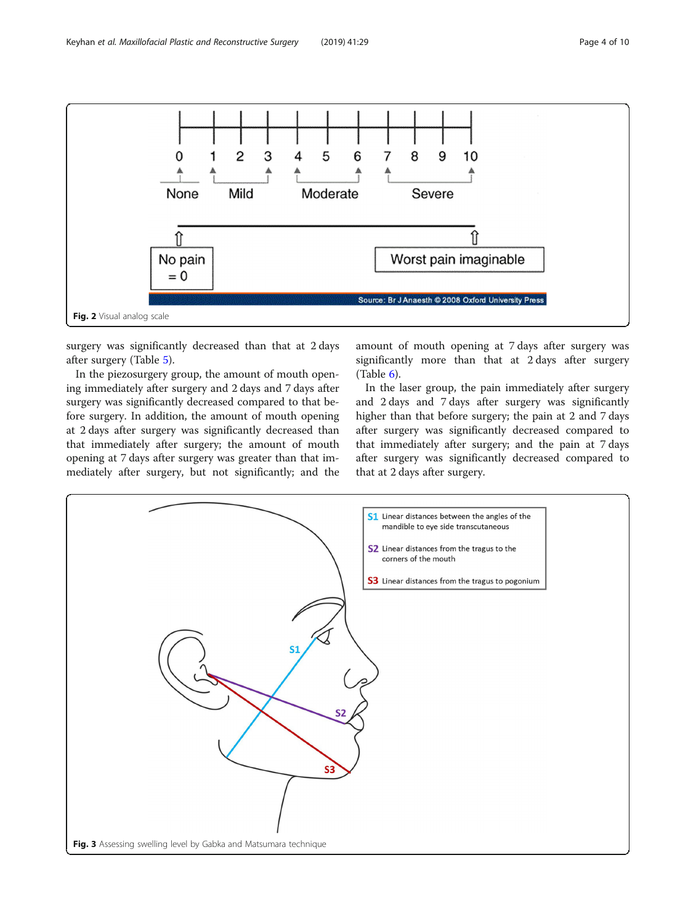<span id="page-3-0"></span>

surgery was significantly decreased than that at 2 days after surgery (Table [5](#page-6-0)).

In the piezosurgery group, the amount of mouth opening immediately after surgery and 2 days and 7 days after surgery was significantly decreased compared to that before surgery. In addition, the amount of mouth opening at 2 days after surgery was significantly decreased than that immediately after surgery; the amount of mouth opening at 7 days after surgery was greater than that immediately after surgery, but not significantly; and the

amount of mouth opening at 7 days after surgery was significantly more than that at 2 days after surgery (Table  $6$ ).

In the laser group, the pain immediately after surgery and 2 days and 7 days after surgery was significantly higher than that before surgery; the pain at 2 and 7 days after surgery was significantly decreased compared to that immediately after surgery; and the pain at 7 days after surgery was significantly decreased compared to that at 2 days after surgery.

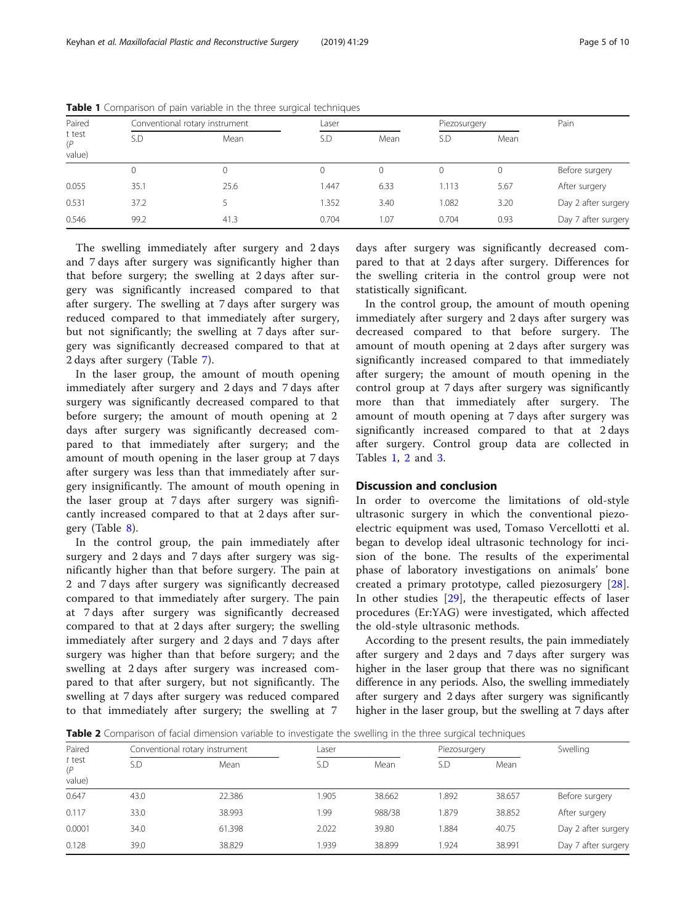| Paired                  |          | Conventional rotary instrument |       | Laser |       | Piezosurgery | Pain                |
|-------------------------|----------|--------------------------------|-------|-------|-------|--------------|---------------------|
| t test<br>(P)<br>value) | S.D      | Mean                           | S.D   | Mean  | S.D   | Mean         |                     |
|                         | $\Omega$ | $\Omega$                       | 0     | 0     |       | $\mathbf 0$  | Before surgery      |
| 0.055                   | 35.1     | 25.6                           | 1.447 | 6.33  | 1.113 | 5.67         | After surgery       |
| 0.531                   | 37.2     |                                | 1.352 | 3.40  | 1.082 | 3.20         | Day 2 after surgery |
| 0.546                   | 99.2     | 41.3                           | 0.704 | 1.07  | 0.704 | 0.93         | Day 7 after surgery |

<span id="page-4-0"></span>Table 1 Comparison of pain variable in the three surgical techniques

The swelling immediately after surgery and 2 days and 7 days after surgery was significantly higher than that before surgery; the swelling at 2 days after surgery was significantly increased compared to that after surgery. The swelling at 7 days after surgery was reduced compared to that immediately after surgery, but not significantly; the swelling at 7 days after surgery was significantly decreased compared to that at 2 days after surgery (Table [7\)](#page-7-0).

In the laser group, the amount of mouth opening immediately after surgery and 2 days and 7 days after surgery was significantly decreased compared to that before surgery; the amount of mouth opening at 2 days after surgery was significantly decreased compared to that immediately after surgery; and the amount of mouth opening in the laser group at 7 days after surgery was less than that immediately after surgery insignificantly. The amount of mouth opening in the laser group at 7 days after surgery was significantly increased compared to that at 2 days after surgery (Table [8\)](#page-7-0).

In the control group, the pain immediately after surgery and 2 days and 7 days after surgery was significantly higher than that before surgery. The pain at 2 and 7 days after surgery was significantly decreased compared to that immediately after surgery. The pain at 7 days after surgery was significantly decreased compared to that at 2 days after surgery; the swelling immediately after surgery and 2 days and 7 days after surgery was higher than that before surgery; and the swelling at 2 days after surgery was increased compared to that after surgery, but not significantly. The swelling at 7 days after surgery was reduced compared to that immediately after surgery; the swelling at 7

days after surgery was significantly decreased compared to that at 2 days after surgery. Differences for the swelling criteria in the control group were not statistically significant.

In the control group, the amount of mouth opening immediately after surgery and 2 days after surgery was decreased compared to that before surgery. The amount of mouth opening at 2 days after surgery was significantly increased compared to that immediately after surgery; the amount of mouth opening in the control group at 7 days after surgery was significantly more than that immediately after surgery. The amount of mouth opening at 7 days after surgery was significantly increased compared to that at 2 days after surgery. Control group data are collected in Tables 1, 2 and [3](#page-5-0).

## Discussion and conclusion

In order to overcome the limitations of old-style ultrasonic surgery in which the conventional piezoelectric equipment was used, Tomaso Vercellotti et al. began to develop ideal ultrasonic technology for incision of the bone. The results of the experimental phase of laboratory investigations on animals' bone created a primary prototype, called piezosurgery [\[28](#page-8-0)]. In other studies [\[29](#page-8-0)], the therapeutic effects of laser procedures (Er:YAG) were investigated, which affected the old-style ultrasonic methods.

According to the present results, the pain immediately after surgery and 2 days and 7 days after surgery was higher in the laser group that there was no significant difference in any periods. Also, the swelling immediately after surgery and 2 days after surgery was significantly higher in the laser group, but the swelling at 7 days after

Table 2 Comparison of facial dimension variable to investigate the swelling in the three surgical techniques

| Paired                  |      | Conventional rotary instrument |       | Laser  |       | Piezosurgery | Swelling            |
|-------------------------|------|--------------------------------|-------|--------|-------|--------------|---------------------|
| t test<br>(P)<br>value) | S.D  | Mean                           | S.D   | Mean   | S.D   | Mean         |                     |
| 0.647                   | 43.0 | 22.386                         | 1.905 | 38.662 | 1.892 | 38.657       | Before surgery      |
| 0.117                   | 33.0 | 38.993                         | 1.99  | 988/38 | .879  | 38.852       | After surgery       |
| 0.0001                  | 34.0 | 61.398                         | 2.022 | 39.80  | .884  | 40.75        | Day 2 after surgery |
| 0.128                   | 39.0 | 38.829                         | 939   | 38.899 | .924  | 38.991       | Day 7 after surgery |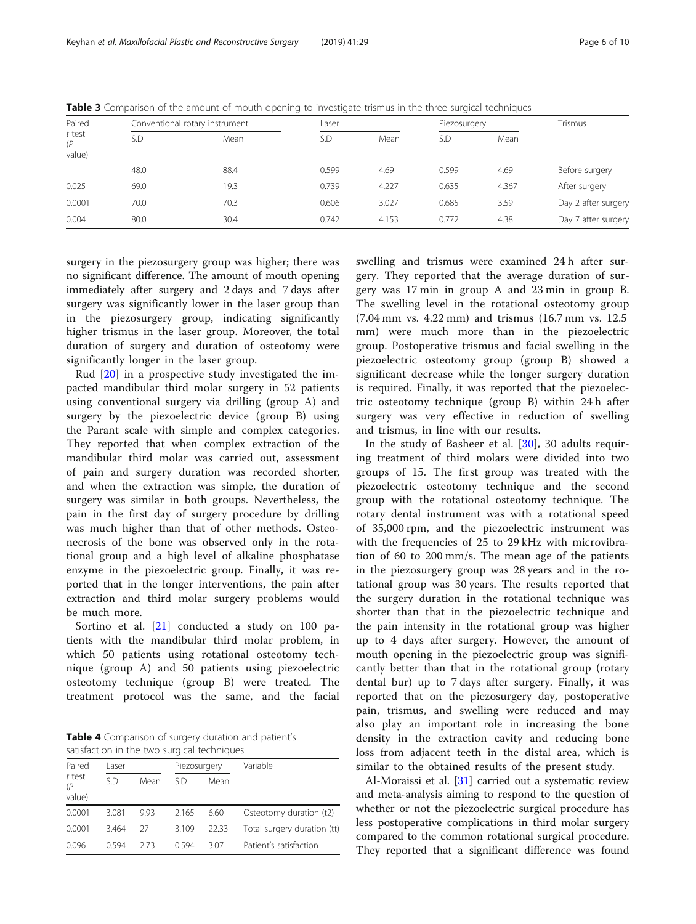| Paired<br>$t$ test<br>(P) |      | Conventional rotary instrument |       | Laser |       | Piezosurgery | Trismus             |
|---------------------------|------|--------------------------------|-------|-------|-------|--------------|---------------------|
|                           | S.D  | Mean                           | S.D   | Mean  | S.D   | Mean         |                     |
| value)                    |      |                                |       |       |       |              |                     |
|                           | 48.0 | 88.4                           | 0.599 | 4.69  | 0.599 | 4.69         | Before surgery      |
| 0.025                     | 69.0 | 19.3                           | 0.739 | 4.227 | 0.635 | 4.367        | After surgery       |
| 0.0001                    | 70.0 | 70.3                           | 0.606 | 3.027 | 0.685 | 3.59         | Day 2 after surgery |
| 0.004                     | 80.0 | 30.4                           | 0.742 | 4.153 | 0.772 | 4.38         | Day 7 after surgery |

<span id="page-5-0"></span>Table 3 Comparison of the amount of mouth opening to investigate trismus in the three surgical techniques

surgery in the piezosurgery group was higher; there was no significant difference. The amount of mouth opening immediately after surgery and 2 days and 7 days after surgery was significantly lower in the laser group than in the piezosurgery group, indicating significantly higher trismus in the laser group. Moreover, the total duration of surgery and duration of osteotomy were significantly longer in the laser group.

Rud [[20\]](#page-8-0) in a prospective study investigated the impacted mandibular third molar surgery in 52 patients using conventional surgery via drilling (group A) and surgery by the piezoelectric device (group B) using the Parant scale with simple and complex categories. They reported that when complex extraction of the mandibular third molar was carried out, assessment of pain and surgery duration was recorded shorter, and when the extraction was simple, the duration of surgery was similar in both groups. Nevertheless, the pain in the first day of surgery procedure by drilling was much higher than that of other methods. Osteonecrosis of the bone was observed only in the rotational group and a high level of alkaline phosphatase enzyme in the piezoelectric group. Finally, it was reported that in the longer interventions, the pain after extraction and third molar surgery problems would be much more.

Sortino et al. [\[21](#page-8-0)] conducted a study on 100 patients with the mandibular third molar problem, in which 50 patients using rotational osteotomy technique (group A) and 50 patients using piezoelectric osteotomy technique (group B) were treated. The treatment protocol was the same, and the facial

Table 4 Comparison of surgery duration and patient's satisfaction in the two surgical techniques

| Paired                  | l aser |      |       | Piezosurgery | Variable                    |
|-------------------------|--------|------|-------|--------------|-----------------------------|
| t test<br>(P)<br>value) | S.D    | Mean | S.D   | Mean         |                             |
| 0.0001                  | 3.081  | 9.93 | 2.165 | 6.60         | Osteotomy duration (t2)     |
| 0.0001                  | 3.464  | 27   | 3.109 | 22.33        | Total surgery duration (tt) |
| 0.096                   | በ 594  | 273  | በ 594 | 3.07         | Patient's satisfaction      |

swelling and trismus were examined 24 h after surgery. They reported that the average duration of surgery was 17 min in group A and 23 min in group B. The swelling level in the rotational osteotomy group (7.04 mm vs. 4.22 mm) and trismus (16.7 mm vs. 12.5 mm) were much more than in the piezoelectric group. Postoperative trismus and facial swelling in the piezoelectric osteotomy group (group B) showed a significant decrease while the longer surgery duration is required. Finally, it was reported that the piezoelectric osteotomy technique (group B) within 24 h after surgery was very effective in reduction of swelling and trismus, in line with our results.

In the study of Basheer et al. [[30\]](#page-9-0), 30 adults requiring treatment of third molars were divided into two groups of 15. The first group was treated with the piezoelectric osteotomy technique and the second group with the rotational osteotomy technique. The rotary dental instrument was with a rotational speed of 35,000 rpm, and the piezoelectric instrument was with the frequencies of 25 to 29 kHz with microvibration of 60 to 200 mm/s. The mean age of the patients in the piezosurgery group was 28 years and in the rotational group was 30 years. The results reported that the surgery duration in the rotational technique was shorter than that in the piezoelectric technique and the pain intensity in the rotational group was higher up to 4 days after surgery. However, the amount of mouth opening in the piezoelectric group was significantly better than that in the rotational group (rotary dental bur) up to 7 days after surgery. Finally, it was reported that on the piezosurgery day, postoperative pain, trismus, and swelling were reduced and may also play an important role in increasing the bone density in the extraction cavity and reducing bone loss from adjacent teeth in the distal area, which is similar to the obtained results of the present study.

Al-Moraissi et al. [[31\]](#page-9-0) carried out a systematic review and meta-analysis aiming to respond to the question of whether or not the piezoelectric surgical procedure has less postoperative complications in third molar surgery compared to the common rotational surgical procedure. They reported that a significant difference was found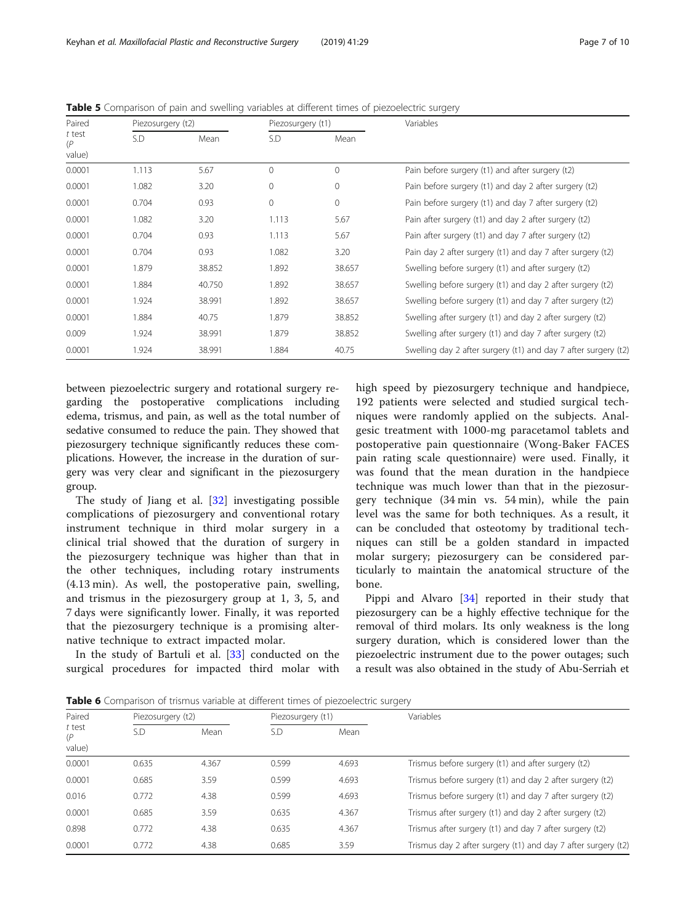| Paired        | Piezosurgery (t2) |        | Piezosurgery (t1) |          | Variables                                                      |
|---------------|-------------------|--------|-------------------|----------|----------------------------------------------------------------|
| t test<br>(P) | S.D               | Mean   | S.D               | Mean     |                                                                |
| value)        |                   |        |                   |          |                                                                |
| 0.0001        | 1.113             | 5.67   | $\Omega$          | $\Omega$ | Pain before surgery (t1) and after surgery (t2)                |
| 0.0001        | 1.082             | 3.20   | $\mathbf{0}$      | $\circ$  | Pain before surgery (t1) and day 2 after surgery (t2)          |
| 0.0001        | 0.704             | 0.93   | $\mathbf{0}$      | $\circ$  | Pain before surgery (t1) and day 7 after surgery (t2)          |
| 0.0001        | 1.082             | 3.20   | 1.113             | 5.67     | Pain after surgery (t1) and day 2 after surgery (t2)           |
| 0.0001        | 0.704             | 0.93   | 1.113             | 5.67     | Pain after surgery (t1) and day 7 after surgery (t2)           |
| 0.0001        | 0.704             | 0.93   | 1.082             | 3.20     | Pain day 2 after surgery (t1) and day 7 after surgery (t2)     |
| 0.0001        | 1.879             | 38.852 | 1.892             | 38.657   | Swelling before surgery (t1) and after surgery (t2)            |
| 0.0001        | 1.884             | 40.750 | 1.892             | 38.657   | Swelling before surgery (t1) and day 2 after surgery (t2)      |
| 0.0001        | 1.924             | 38.991 | 1.892             | 38.657   | Swelling before surgery (t1) and day 7 after surgery (t2)      |
| 0.0001        | 1.884             | 40.75  | 1.879             | 38.852   | Swelling after surgery (t1) and day 2 after surgery (t2)       |
| 0.009         | 1.924             | 38.991 | 1.879             | 38.852   | Swelling after surgery (t1) and day 7 after surgery (t2)       |
| 0.0001        | 1.924             | 38.991 | 1.884             | 40.75    | Swelling day 2 after surgery (t1) and day 7 after surgery (t2) |

<span id="page-6-0"></span>Table 5 Comparison of pain and swelling variables at different times of piezoelectric surgery

between piezoelectric surgery and rotational surgery regarding the postoperative complications including edema, trismus, and pain, as well as the total number of sedative consumed to reduce the pain. They showed that piezosurgery technique significantly reduces these complications. However, the increase in the duration of surgery was very clear and significant in the piezosurgery group.

The study of Jiang et al. [[32\]](#page-9-0) investigating possible complications of piezosurgery and conventional rotary instrument technique in third molar surgery in a clinical trial showed that the duration of surgery in the piezosurgery technique was higher than that in the other techniques, including rotary instruments (4.13 min). As well, the postoperative pain, swelling, and trismus in the piezosurgery group at 1, 3, 5, and 7 days were significantly lower. Finally, it was reported that the piezosurgery technique is a promising alternative technique to extract impacted molar.

In the study of Bartuli et al. [[33\]](#page-9-0) conducted on the surgical procedures for impacted third molar with

high speed by piezosurgery technique and handpiece, 192 patients were selected and studied surgical techniques were randomly applied on the subjects. Analgesic treatment with 1000-mg paracetamol tablets and postoperative pain questionnaire (Wong-Baker FACES pain rating scale questionnaire) were used. Finally, it was found that the mean duration in the handpiece technique was much lower than that in the piezosurgery technique (34 min vs. 54 min), while the pain level was the same for both techniques. As a result, it can be concluded that osteotomy by traditional techniques can still be a golden standard in impacted molar surgery; piezosurgery can be considered particularly to maintain the anatomical structure of the bone.

Pippi and Alvaro [[34](#page-9-0)] reported in their study that piezosurgery can be a highly effective technique for the removal of third molars. Its only weakness is the long surgery duration, which is considered lower than the piezoelectric instrument due to the power outages; such a result was also obtained in the study of Abu-Serriah et

Table 6 Comparison of trismus variable at different times of piezoelectric surgery

| Paired<br>t test<br>(P<br>value) | Piezosurgery (t2) |       | Piezosurgery (t1) |       | Variables                                                     |
|----------------------------------|-------------------|-------|-------------------|-------|---------------------------------------------------------------|
|                                  | S.D               | Mean  | S.D               | Mean  |                                                               |
| 0.0001                           | 0.635             | 4.367 | 0.599             | 4.693 | Trismus before surgery (t1) and after surgery (t2)            |
| 0.0001                           | 0.685             | 3.59  | 0.599             | 4.693 | Trismus before surgery (t1) and day 2 after surgery (t2)      |
| 0.016                            | 0.772             | 4.38  | 0.599             | 4.693 | Trismus before surgery (t1) and day 7 after surgery (t2)      |
| 0.0001                           | 0.685             | 3.59  | 0.635             | 4.367 | Trismus after surgery (t1) and day 2 after surgery (t2)       |
| 0.898                            | 0.772             | 4.38  | 0.635             | 4.367 | Trismus after surgery (t1) and day 7 after surgery (t2)       |
| 0.0001                           | 0.772             | 4.38  | 0.685             | 3.59  | Trismus day 2 after surgery (t1) and day 7 after surgery (t2) |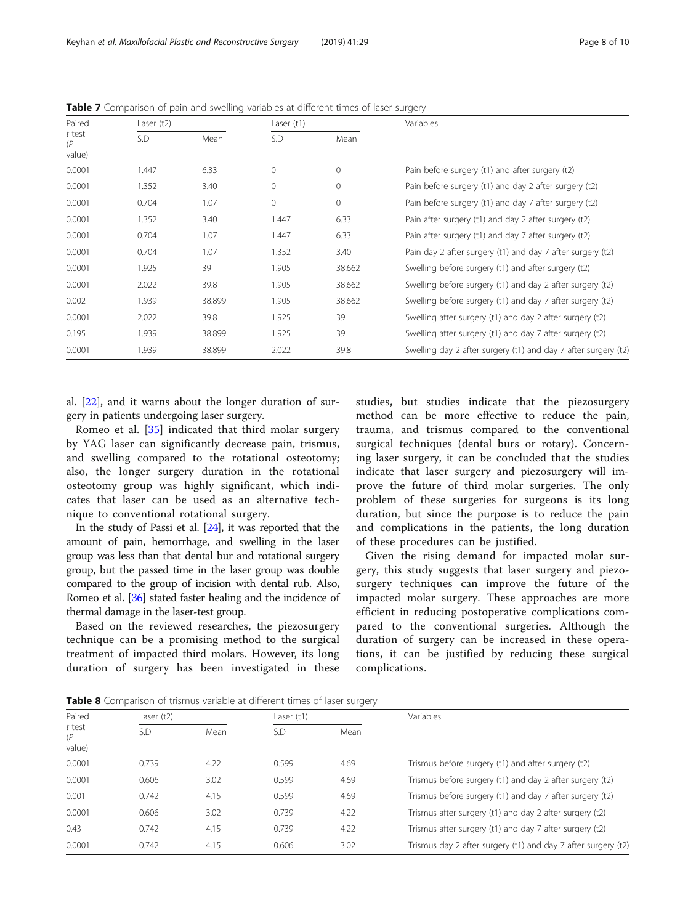| Paired        | Laser $(t2)$ |        | Laser $(t1)$ |              | Variables                                                      |
|---------------|--------------|--------|--------------|--------------|----------------------------------------------------------------|
| t test<br>(P) | S.D          | Mean   | S.D          | Mean         |                                                                |
| value)        |              |        |              |              |                                                                |
| 0.0001        | 1.447        | 6.33   | $\Omega$     | $\mathbf{0}$ | Pain before surgery (t1) and after surgery (t2)                |
| 0.0001        | 1.352        | 3.40   | $\mathbf{0}$ | $\mathbf 0$  | Pain before surgery (t1) and day 2 after surgery (t2)          |
| 0.0001        | 0.704        | 1.07   | $\mathbf{0}$ | 0            | Pain before surgery (t1) and day 7 after surgery (t2)          |
| 0.0001        | 1.352        | 3.40   | 1.447        | 6.33         | Pain after surgery (t1) and day 2 after surgery (t2)           |
| 0.0001        | 0.704        | 1.07   | 1.447        | 6.33         | Pain after surgery (t1) and day 7 after surgery (t2)           |
| 0.0001        | 0.704        | 1.07   | 1.352        | 3.40         | Pain day 2 after surgery (t1) and day 7 after surgery (t2)     |
| 0.0001        | 1.925        | 39     | 1.905        | 38.662       | Swelling before surgery (t1) and after surgery (t2)            |
| 0.0001        | 2.022        | 39.8   | 1.905        | 38.662       | Swelling before surgery (t1) and day 2 after surgery (t2)      |
| 0.002         | 1.939        | 38.899 | 1.905        | 38.662       | Swelling before surgery (t1) and day 7 after surgery (t2)      |
| 0.0001        | 2.022        | 39.8   | 1.925        | 39           | Swelling after surgery (t1) and day 2 after surgery (t2)       |
| 0.195         | 1.939        | 38.899 | 1.925        | 39           | Swelling after surgery (t1) and day 7 after surgery (t2)       |
| 0.0001        | 1.939        | 38.899 | 2.022        | 39.8         | Swelling day 2 after surgery (t1) and day 7 after surgery (t2) |

<span id="page-7-0"></span>Table 7 Comparison of pain and swelling variables at different times of laser surgery

al. [[22\]](#page-8-0), and it warns about the longer duration of surgery in patients undergoing laser surgery.

Romeo et al. [[35\]](#page-9-0) indicated that third molar surgery by YAG laser can significantly decrease pain, trismus, and swelling compared to the rotational osteotomy; also, the longer surgery duration in the rotational osteotomy group was highly significant, which indicates that laser can be used as an alternative technique to conventional rotational surgery.

In the study of Passi et al. [\[24](#page-8-0)], it was reported that the amount of pain, hemorrhage, and swelling in the laser group was less than that dental bur and rotational surgery group, but the passed time in the laser group was double compared to the group of incision with dental rub. Also, Romeo et al. [[36](#page-9-0)] stated faster healing and the incidence of thermal damage in the laser-test group.

Based on the reviewed researches, the piezosurgery technique can be a promising method to the surgical treatment of impacted third molars. However, its long duration of surgery has been investigated in these

studies, but studies indicate that the piezosurgery method can be more effective to reduce the pain, trauma, and trismus compared to the conventional surgical techniques (dental burs or rotary). Concerning laser surgery, it can be concluded that the studies indicate that laser surgery and piezosurgery will improve the future of third molar surgeries. The only problem of these surgeries for surgeons is its long duration, but since the purpose is to reduce the pain and complications in the patients, the long duration of these procedures can be justified.

Given the rising demand for impacted molar surgery, this study suggests that laser surgery and piezosurgery techniques can improve the future of the impacted molar surgery. These approaches are more efficient in reducing postoperative complications compared to the conventional surgeries. Although the duration of surgery can be increased in these operations, it can be justified by reducing these surgical complications.

Table 8 Comparison of trismus variable at different times of laser surgery

|                         | <b>I WINTED TO COMPUTER THE CITY OF CITY OF A CONTRACT CONTROL CITIES OF REACH SCHOOL</b> |      |       |      |                                                               |  |  |  |
|-------------------------|-------------------------------------------------------------------------------------------|------|-------|------|---------------------------------------------------------------|--|--|--|
| Paired<br>t test<br>(P) | Laser $(t2)$                                                                              |      |       |      | Variables                                                     |  |  |  |
|                         | S.D                                                                                       | Mean | S.D   | Mean |                                                               |  |  |  |
| value)                  |                                                                                           |      |       |      |                                                               |  |  |  |
| 0.0001                  | 0.739                                                                                     | 4.22 | 0.599 | 4.69 | Trismus before surgery (t1) and after surgery (t2)            |  |  |  |
| 0.0001                  | 0.606                                                                                     | 3.02 | 0.599 | 4.69 | Trismus before surgery (t1) and day 2 after surgery (t2)      |  |  |  |
| 0.001                   | 0.742                                                                                     | 4.15 | 0.599 | 4.69 | Trismus before surgery (t1) and day 7 after surgery (t2)      |  |  |  |
| 0.0001                  | 0.606                                                                                     | 3.02 | 0.739 | 4.22 | Trismus after surgery (t1) and day 2 after surgery (t2)       |  |  |  |
| 0.43                    | 0.742                                                                                     | 4.15 | 0.739 | 4.22 | Trismus after surgery (t1) and day 7 after surgery (t2)       |  |  |  |
| 0.0001                  | 0.742                                                                                     | 4.15 | 0.606 | 3.02 | Trismus day 2 after surgery (t1) and day 7 after surgery (t2) |  |  |  |
|                         |                                                                                           |      |       |      |                                                               |  |  |  |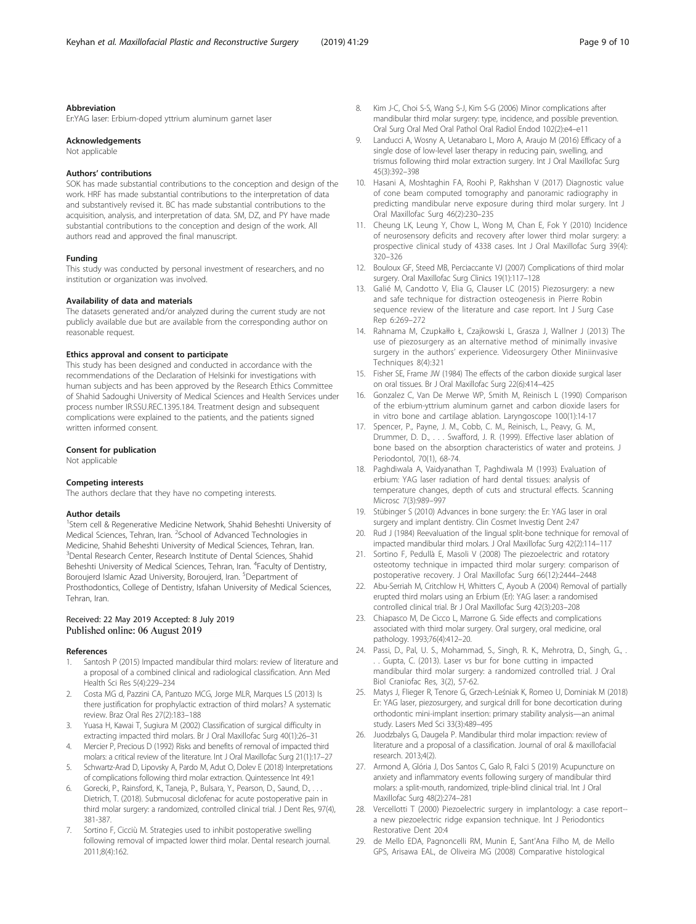#### <span id="page-8-0"></span>Abbreviation

Er:YAG laser: Erbium-doped yttrium aluminum garnet laser

#### Acknowledgements

Not applicable

#### Authors' contributions

SOK has made substantial contributions to the conception and design of the work. HRF has made substantial contributions to the interpretation of data and substantively revised it. BC has made substantial contributions to the acquisition, analysis, and interpretation of data. SM, DZ, and PY have made substantial contributions to the conception and design of the work. All authors read and approved the final manuscript.

#### Funding

This study was conducted by personal investment of researchers, and no institution or organization was involved.

#### Availability of data and materials

The datasets generated and/or analyzed during the current study are not publicly available due but are available from the corresponding author on reasonable request.

#### Ethics approval and consent to participate

This study has been designed and conducted in accordance with the recommendations of the Declaration of Helsinki for investigations with human subjects and has been approved by the Research Ethics Committee of Shahid Sadoughi University of Medical Sciences and Health Services under process number IR.SSU.REC.1395.184. Treatment design and subsequent complications were explained to the patients, and the patients signed written informed consent.

#### Consent for publication

Not applicable

#### Competing interests

The authors declare that they have no competing interests.

#### Author details

<sup>1</sup>Stem cell & Regenerative Medicine Network, Shahid Beheshti University of Medical Sciences, Tehran, Iran. <sup>2</sup>School of Advanced Technologies in Medicine, Shahid Beheshti University of Medical Sciences, Tehran, Iran. 3 Dental Research Center, Research Institute of Dental Sciences, Shahid Beheshti University of Medical Sciences, Tehran, Iran. <sup>4</sup>Faculty of Dentistry, Boroujerd Islamic Azad University, Boroujerd, Iran. <sup>5</sup>Department of Prosthodontics, College of Dentistry, Isfahan University of Medical Sciences, Tehran, Iran.

# Received: 22 May 2019 Accepted: 8 July 2019 Published online: 06 August 2019

#### References

- Santosh P (2015) Impacted mandibular third molars: review of literature and a proposal of a combined clinical and radiological classification. Ann Med Health Sci Res 5(4):229–234
- 2. Costa MG d, Pazzini CA, Pantuzo MCG, Jorge MLR, Marques LS (2013) Is there justification for prophylactic extraction of third molars? A systematic review. Braz Oral Res 27(2):183–188
- 3. Yuasa H, Kawai T, Sugiura M (2002) Classification of surgical difficulty in extracting impacted third molars. Br J Oral Maxillofac Surg 40(1):26–31
- 4. Mercier P, Precious D (1992) Risks and benefits of removal of impacted third molars: a critical review of the literature. Int J Oral Maxillofac Surg 21(1):17–27
- 5. Schwartz-Arad D, Lipovsky A, Pardo M, Adut O, Dolev E (2018) Interpretations of complications following third molar extraction. Quintessence Int 49:1
- 6. Gorecki, P., Rainsford, K., Taneja, P., Bulsara, Y., Pearson, D., Saund, D., . Dietrich, T. (2018). Submucosal diclofenac for acute postoperative pain in third molar surgery: a randomized, controlled clinical trial. J Dent Res, 97(4), 381-387.
- 7. Sortino F, Cicciù M. Strategies used to inhibit postoperative swelling following removal of impacted lower third molar. Dental research journal. 2011;8(4):162.
- 8. Kim J-C, Choi S-S, Wang S-J, Kim S-G (2006) Minor complications after mandibular third molar surgery: type, incidence, and possible prevention. Oral Surg Oral Med Oral Pathol Oral Radiol Endod 102(2):e4–e11
- Landucci A, Wosny A, Uetanabaro L, Moro A, Araujo M (2016) Efficacy of a single dose of low-level laser therapy in reducing pain, swelling, and trismus following third molar extraction surgery. Int J Oral Maxillofac Surg 45(3):392–398
- 10. Hasani A, Moshtaghin FA, Roohi P, Rakhshan V (2017) Diagnostic value of cone beam computed tomography and panoramic radiography in predicting mandibular nerve exposure during third molar surgery. Int J Oral Maxillofac Surg 46(2):230–235
- 11. Cheung LK, Leung Y, Chow L, Wong M, Chan E, Fok Y (2010) Incidence of neurosensory deficits and recovery after lower third molar surgery: a prospective clinical study of 4338 cases. Int J Oral Maxillofac Surg 39(4): 320–326
- 12. Bouloux GF, Steed MB, Perciaccante VJ (2007) Complications of third molar surgery. Oral Maxillofac Surg Clinics 19(1):117–128
- 13. Galié M, Candotto V, Elia G, Clauser LC (2015) Piezosurgery: a new and safe technique for distraction osteogenesis in Pierre Robin sequence review of the literature and case report. Int J Surg Case Rep 6:269–272
- 14. Rahnama M, Czupkałło Ł, Czajkowski L, Grasza J, Wallner J (2013) The use of piezosurgery as an alternative method of minimally invasive surgery in the authors' experience. Videosurgery Other Miniinvasive Techniques 8(4):321
- 15. Fisher SE, Frame JW (1984) The effects of the carbon dioxide surgical laser on oral tissues. Br J Oral Maxillofac Surg 22(6):414–425
- 16. Gonzalez C, Van De Merwe WP, Smith M, Reinisch L (1990) Comparison of the erbium-yttrium aluminum garnet and carbon dioxide lasers for in vitro bone and cartilage ablation. Laryngoscope 100(1):14-17
- 17. Spencer, P., Payne, J. M., Cobb, C. M., Reinisch, L., Peavy, G. M., Drummer, D. D., . . . Swafford, J. R. (1999). Effective laser ablation of bone based on the absorption characteristics of water and proteins. J Periodontol, 70(1), 68-74.
- 18. Paghdiwala A, Vaidyanathan T, Paghdiwala M (1993) Evaluation of erbium: YAG laser radiation of hard dental tissues: analysis of temperature changes, depth of cuts and structural effects. Scanning Microsc 7(3):989–997
- 19. Stübinger S (2010) Advances in bone surgery: the Er: YAG laser in oral surgery and implant dentistry. Clin Cosmet Investig Dent 2:47
- 20. Rud J (1984) Reevaluation of the lingual split-bone technique for removal of impacted mandibular third molars. J Oral Maxillofac Surg 42(2):114–117
- 21. Sortino F, Pedullà E, Masoli V (2008) The piezoelectric and rotatory osteotomy technique in impacted third molar surgery: comparison of postoperative recovery. J Oral Maxillofac Surg 66(12):2444–2448
- 22. Abu-Serriah M, Critchlow H, Whitters C, Ayoub A (2004) Removal of partially erupted third molars using an Erbium (Er): YAG laser: a randomised controlled clinical trial. Br J Oral Maxillofac Surg 42(3):203–208
- 23. Chiapasco M, De Cicco L, Marrone G. Side effects and complications associated with third molar surgery. Oral surgery, oral medicine, oral pathology. 1993;76(4):412–20.
- 24. Passi, D., Pal, U. S., Mohammad, S., Singh, R. K., Mehrotra, D., Singh, G., . . . Gupta, C. (2013). Laser vs bur for bone cutting in impacted mandibular third molar surgery: a randomized controlled trial. J Oral Biol Craniofac Res, 3(2), 57-62.
- 25. Matys J, Flieger R, Tenore G, Grzech-Leśniak K, Romeo U, Dominiak M (2018) Er: YAG laser, piezosurgery, and surgical drill for bone decortication during orthodontic mini-implant insertion: primary stability analysis—an animal study. Lasers Med Sci 33(3):489–495
- 26. Juodzbalys G, Daugela P. Mandibular third molar impaction: review of literature and a proposal of a classification. Journal of oral & maxillofacial research. 2013;4(2).
- 27. Armond A, Glória J, Dos Santos C, Galo R, Falci S (2019) Acupuncture on anxiety and inflammatory events following surgery of mandibular third molars: a split-mouth, randomized, triple-blind clinical trial. Int J Oral Maxillofac Surg 48(2):274–281
- 28. Vercellotti T (2000) Piezoelectric surgery in implantology: a case report- a new piezoelectric ridge expansion technique. Int J Periodontics Restorative Dent 20:4
- 29. de Mello EDA, Pagnoncelli RM, Munin E, Sant'Ana Filho M, de Mello GPS, Arisawa EAL, de Oliveira MG (2008) Comparative histological